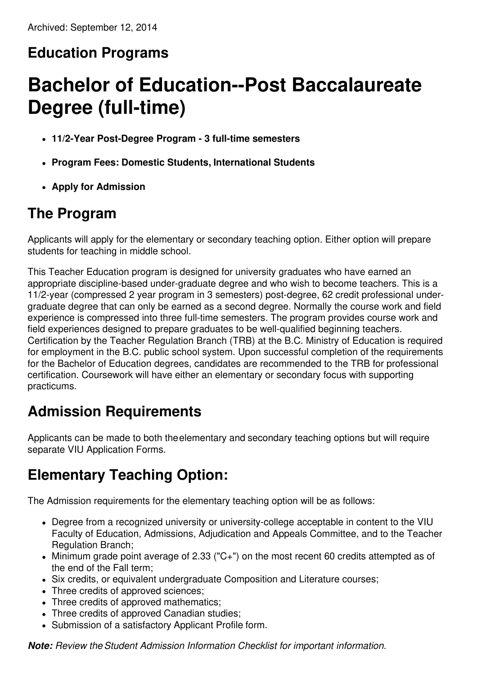# **Education Programs**

# **Bachelor of Education--Post Baccalaureate Degree (full-time)**

- **11/2-Year Post-Degree Program - 3 full-time semesters**
- **Program Fees: Domestic Students, International Students**
- **Apply for Admission**

#### **The Program**

Applicants will apply for the elementary or secondary teaching option. Either option will prepare students for teaching in middle school.

This Teacher Education program is designed for university graduates who have earned an appropriate discipline-based under-graduate degree and who wish to become teachers. This is a 11/2-year (compressed 2 year program in 3 semesters) post-degree, 62 credit professional undergraduate degree that can only be earned as a second degree. Normally the course work and field experience is compressed into three full-time semesters. The program provides course work and field experiences designed to prepare graduates to be well-qualified beginning teachers. Certification by the Teacher Regulation Branch (TRB) at the B.C. Ministry of Education is required for employment in the B.C. public school system. Upon successful completion of the requirements for the Bachelor of Education degrees, candidates are recommended to the TRB for professional certification. Coursework will have either an elementary or secondary focus with supporting practicums.

#### **Admission Requirements**

Applicants can be made to both theelementary and secondary teaching options but will require separate VIU Application Forms.

### **Elementary Teaching Option:**

The Admission requirements for the elementary teaching option will be as follows:

- Degree from a recognized university or university-college acceptable in content to the VIU Faculty of Education, Admissions, Adjudication and Appeals Committee, and to the Teacher Regulation Branch;
- Minimum grade point average of 2.33 ("C+") on the most recent 60 credits attempted as of the end of the Fall term;
- Six credits, or equivalent undergraduate Composition and Literature courses;
- Three credits of approved sciences;
- Three credits of approved mathematics:
- Three credits of approved Canadian studies;
- Submission of a satisfactory Applicant Profile form.

*Note: Review theStudent Admission Information Checklist for important information.*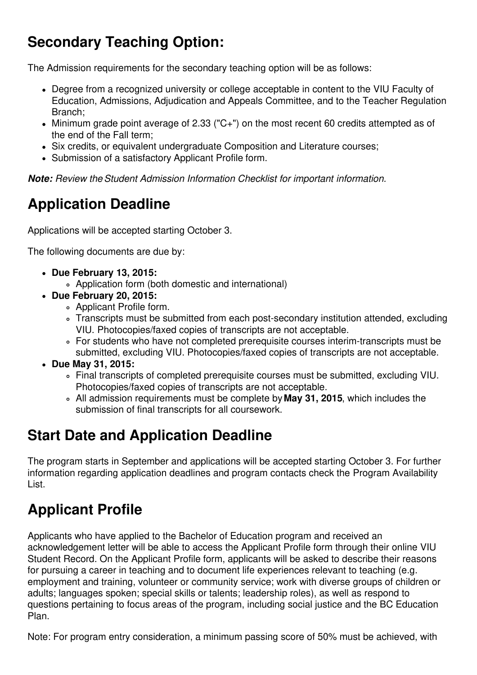# **Secondary Teaching Option:**

The Admission requirements for the secondary teaching option will be as follows:

- Degree from a recognized university or college acceptable in content to the VIU Faculty of Education, Admissions, Adjudication and Appeals Committee, and to the Teacher Regulation Branch;
- Minimum grade point average of 2.33 ("C+") on the most recent 60 credits attempted as of the end of the Fall term;
- Six credits, or equivalent undergraduate Composition and Literature courses;
- Submission of a satisfactory Applicant Profile form.

*Note: Review theStudent Admission Information Checklist for important information.*

# **Application Deadline**

Applications will be accepted starting October 3.

The following documents are due by:

- **Due February 13, 2015:**
	- Application form (both domestic and international)
- **Due February 20, 2015:**
	- Applicant Profile form.
	- Transcripts must be submitted from each post-secondary institution attended, excluding VIU. Photocopies/faxed copies of transcripts are not acceptable.
	- For students who have not completed prerequisite courses interim-transcripts must be submitted, excluding VIU. Photocopies/faxed copies of transcripts are not acceptable.
- **Due May 31, 2015:**
	- Final transcripts of completed prerequisite courses must be submitted, excluding VIU. Photocopies/faxed copies of transcripts are not acceptable.
	- All admission requirements must be complete by **May 31, 2015**, which includes the submission of final transcripts for all coursework.

### **Start Date and Application Deadline**

The program starts in September and applications will be accepted starting October 3. For further information regarding application deadlines and program contacts check the Program Availability List.

# **Applicant Profile**

Applicants who have applied to the Bachelor of Education program and received an acknowledgement letter will be able to access the Applicant Profile form through their online VIU Student Record. On the Applicant Profile form, applicants will be asked to describe their reasons for pursuing a career in teaching and to document life experiences relevant to teaching (e.g. employment and training, volunteer or community service; work with diverse groups of children or adults; languages spoken; special skills or talents; leadership roles), as well as respond to questions pertaining to focus areas of the program, including social justice and the BC Education Plan.

Note: For program entry consideration, a minimum passing score of 50% must be achieved, with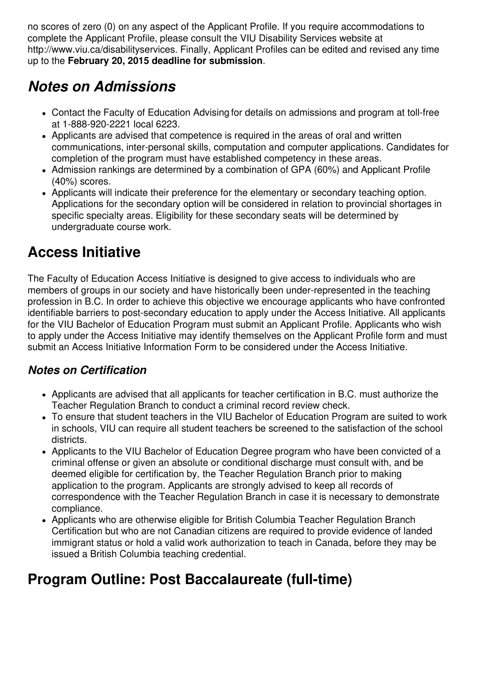no scores of zero (0) on any aspect of the Applicant Profile. If you require accommodations to complete the Applicant Profile, please consult the VIU Disability Services website at http://www.viu.ca/disabilityservices. Finally, Applicant Profiles can be edited and revised any time up to the **February 20, 2015 deadline for submission**.

#### *Notes on Admissions*

- Contact the Faculty of Education Advising for details on admissions and program at toll-free at 1-888-920-2221 local 6223.
- Applicants are advised that competence is required in the areas of oral and written communications, inter-personal skills, computation and computer applications. Candidates for completion of the program must have established competency in these areas.
- Admission rankings are determined by a combination of GPA (60%) and Applicant Profile (40%) scores.
- Applicants will indicate their preference for the elementary or secondary teaching option. Applications for the secondary option will be considered in relation to provincial shortages in specific specialty areas. Eligibility for these secondary seats will be determined by undergraduate course work.

### **Access Initiative**

The Faculty of Education Access Initiative is designed to give access to individuals who are members of groups in our society and have historically been under-represented in the teaching profession in B.C. In order to achieve this objective we encourage applicants who have confronted identifiable barriers to post-secondary education to apply under the Access Initiative. All applicants for the VIU Bachelor of Education Program must submit an Applicant Profile. Applicants who wish to apply under the Access Initiative may identify themselves on the Applicant Profile form and must submit an Access Initiative Information Form to be considered under the Access Initiative.

#### *Notes on Certification*

- Applicants are advised that all applicants for teacher certification in B.C. must authorize the Teacher Regulation Branch to conduct a criminal record review check.
- To ensure that student teachers in the VIU Bachelor of Education Program are suited to work in schools, VIU can require all student teachers be screened to the satisfaction of the school districts.
- Applicants to the VIU Bachelor of Education Degree program who have been convicted of a criminal offense or given an absolute or conditional discharge must consult with, and be deemed eligible for certification by, the Teacher Regulation Branch prior to making application to the program. Applicants are strongly advised to keep all records of correspondence with the Teacher Regulation Branch in case it is necessary to demonstrate compliance.
- Applicants who are otherwise eligible for British Columbia Teacher Regulation Branch Certification but who are not Canadian citizens are required to provide evidence of landed immigrant status or hold a valid work authorization to teach in Canada, before they may be issued a British Columbia teaching credential.

# **Program Outline: Post Baccalaureate (full-time)**